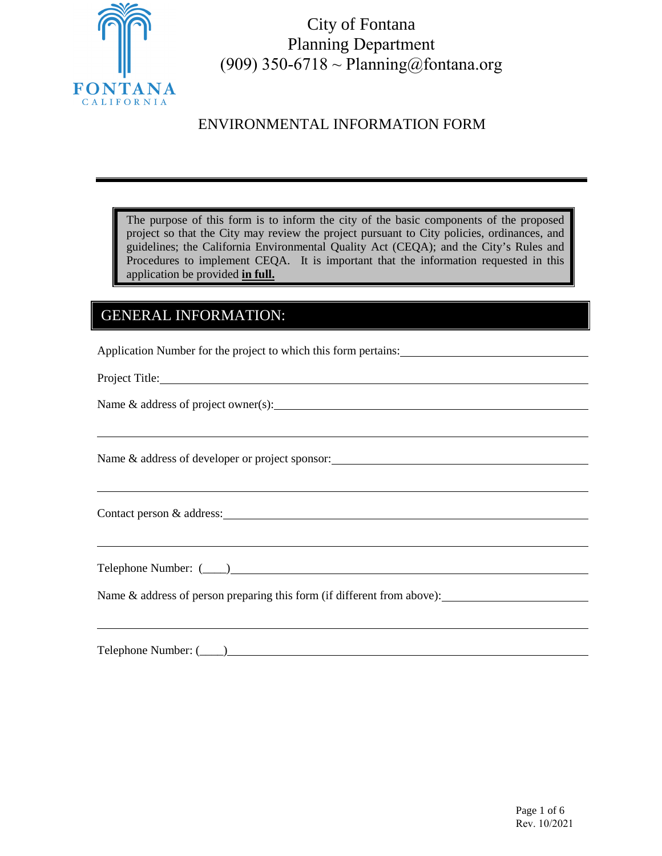

City of Fontana Planning Department (909) 350-6718 ~ Planning@fontana.org

# ENVIRONMENTAL INFORMATION FORM

The purpose of this form is to inform the city of the basic components of the proposed project so that the City may review the project pursuant to City policies, ordinances, and guidelines; the California Environmental Quality Act (CEQA); and the City's Rules and Procedures to implement CEQA. It is important that the information requested in this application be provided **in full.**

# GENERAL INFORMATION:

Application Number for the project to which this form pertains:

Project Title:

Name & address of project owner(s):

Name & address of developer or project sponsor:

Contact person & address: Contact person & address:

Telephone Number: (\_\_\_\_)

Name & address of person preparing this form (if different from above):

Telephone Number:  $($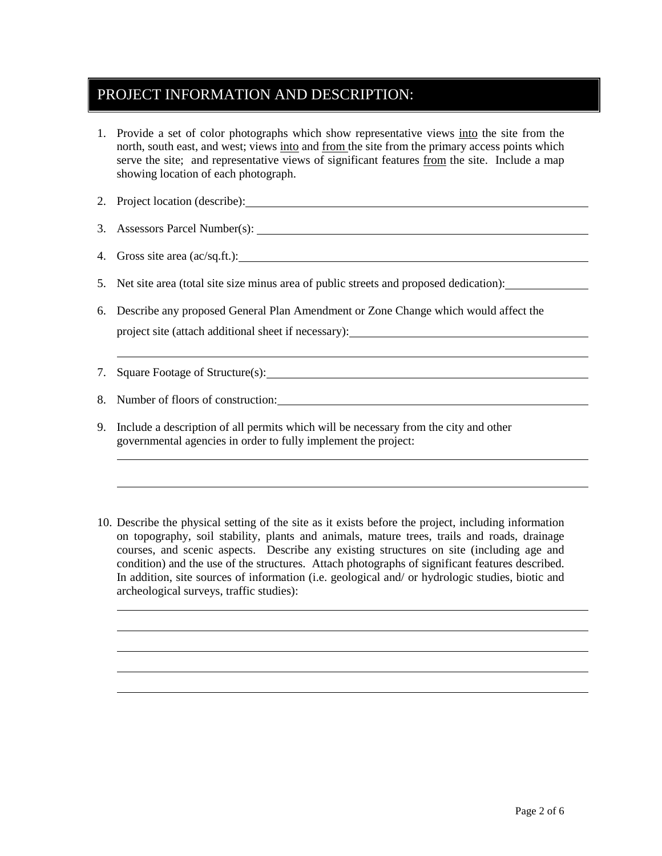## PROJECT INFORMATION AND DESCRIPTION:

- 1. Provide a set of color photographs which show representative views into the site from the north, south east, and west; views into and from the site from the primary access points which serve the site; and representative views of significant features from the site. Include a map showing location of each photograph.
- 2. Project location (describe):
- 3. Assessors Parcel Number(s):
- 4. Gross site area (ac/sq.ft.):
- 5. Net site area (total site size minus area of public streets and proposed dedication):
- 6. Describe any proposed General Plan Amendment or Zone Change which would affect the project site (attach additional sheet if necessary):
- 7. Square Footage of Structure(s):

8. Number of floors of construction:

- 9. Include a description of all permits which will be necessary from the city and other governmental agencies in order to fully implement the project:
- 10. Describe the physical setting of the site as it exists before the project, including information on topography, soil stability, plants and animals, mature trees, trails and roads, drainage courses, and scenic aspects. Describe any existing structures on site (including age and condition) and the use of the structures. Attach photographs of significant features described. In addition, site sources of information (i.e. geological and/ or hydrologic studies, biotic and archeological surveys, traffic studies):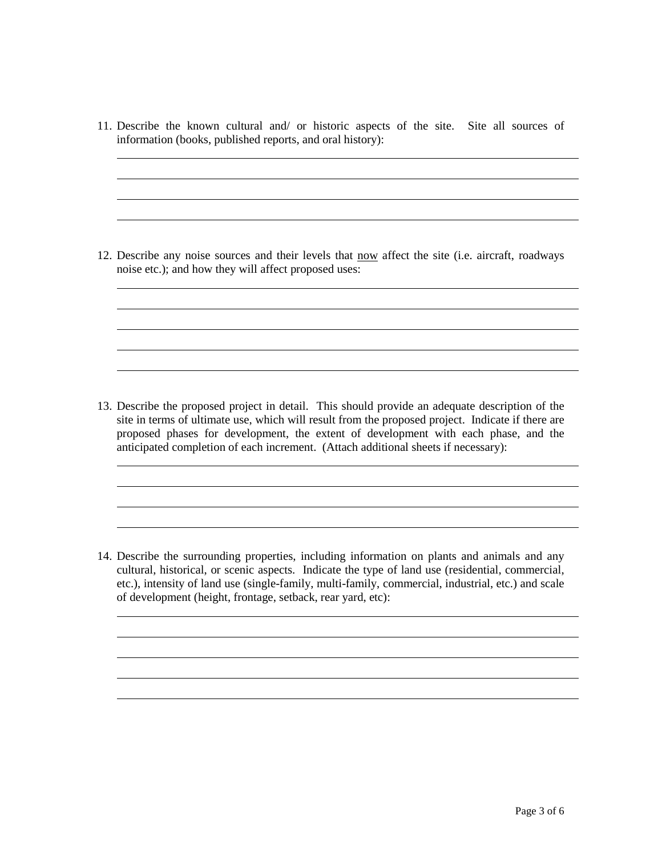11. Describe the known cultural and/ or historic aspects of the site. Site all sources of information (books, published reports, and oral history):

<u> 1980 - Johann Barn, mars ann an t-Amhain Aonaichte ann an t-Aonaichte ann an t-Aonaichte ann an t-Aonaichte a</u>

<u> 1989 - Johann Stoff, deutscher Stoffen und der Stoffen und der Stoffen und der Stoffen und der Stoffen und der</u>

12. Describe any noise sources and their levels that now affect the site (i.e. aircraft, roadways noise etc.); and how they will affect proposed uses:

13. Describe the proposed project in detail. This should provide an adequate description of the site in terms of ultimate use, which will result from the proposed project. Indicate if there are proposed phases for development, the extent of development with each phase, and the anticipated completion of each increment. (Attach additional sheets if necessary):

14. Describe the surrounding properties, including information on plants and animals and any cultural, historical, or scenic aspects. Indicate the type of land use (residential, commercial, etc.), intensity of land use (single-family, multi-family, commercial, industrial, etc.) and scale of development (height, frontage, setback, rear yard, etc):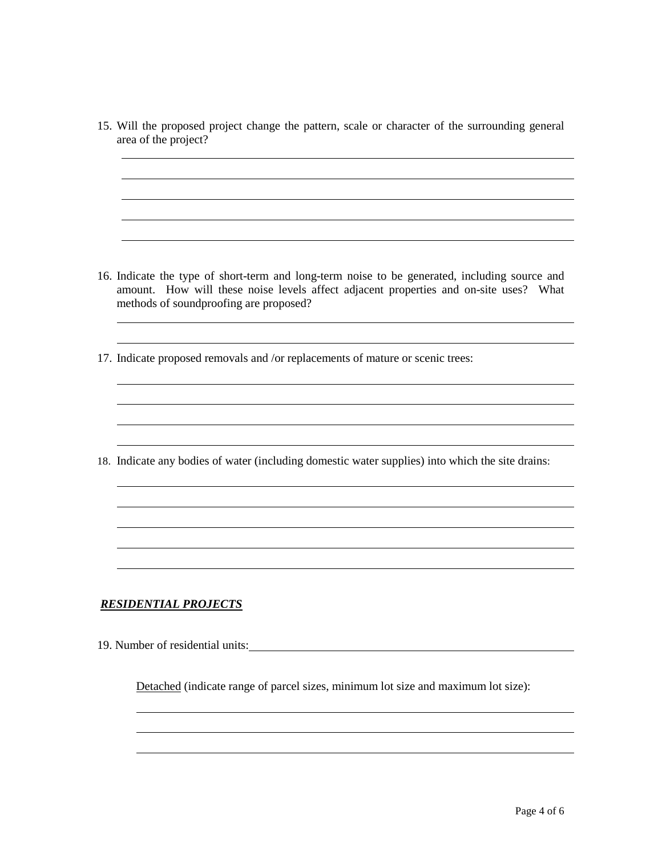15. Will the proposed project change the pattern, scale or character of the surrounding general area of the project?

<u> 1989 - Johann Stoff, deutscher Stoff, der Stoff, der Stoff, der Stoff, der Stoff, der Stoff, der Stoff, der S</u>

- 16. Indicate the type of short-term and long-term noise to be generated, including source and amount. How will these noise levels affect adjacent properties and on-site uses? What methods of soundproofing are proposed?
- 17. Indicate proposed removals and /or replacements of mature or scenic trees:

18. Indicate any bodies of water (including domestic water supplies) into which the site drains:

#### *RESIDENTIAL PROJECTS*

19. Number of residential units:

Detached (indicate range of parcel sizes, minimum lot size and maximum lot size):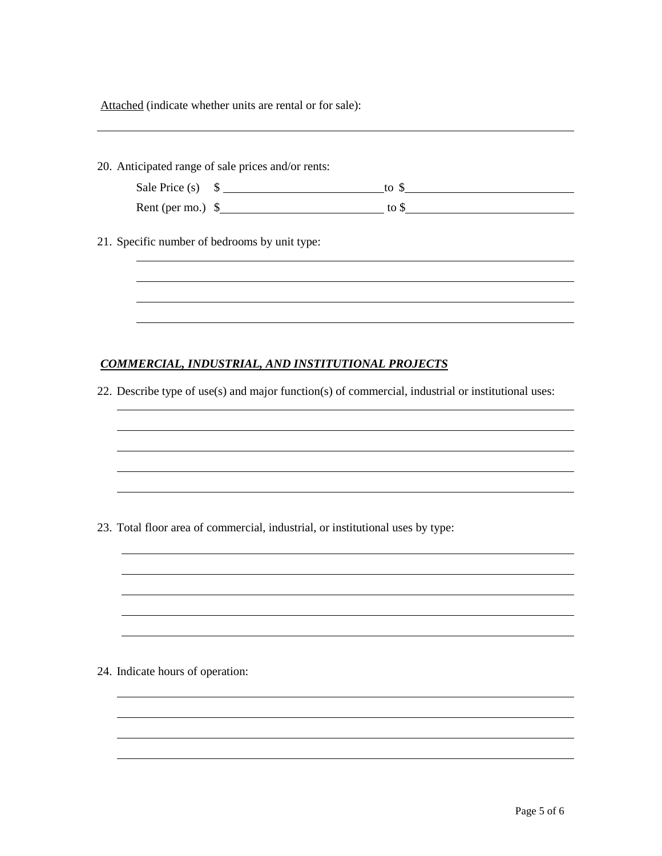| 20. Anticipated range of sale prices and/or rents:                                                 |
|----------------------------------------------------------------------------------------------------|
| Sale Price (s) $\quad \text{S}$ to $\text{S}$                                                      |
| Rent (per mo.) $\frac{1}{2}$ to $\frac{1}{2}$ to $\frac{1}{2}$                                     |
|                                                                                                    |
| 21. Specific number of bedrooms by unit type:                                                      |
|                                                                                                    |
|                                                                                                    |
|                                                                                                    |
|                                                                                                    |
| <b>COMMERCIAL, INDUSTRIAL, AND INSTITUTIONAL PROJECTS</b>                                          |
|                                                                                                    |
| 22. Describe type of use(s) and major function(s) of commercial, industrial or institutional uses: |
|                                                                                                    |
|                                                                                                    |
|                                                                                                    |
|                                                                                                    |
|                                                                                                    |
| 23. Total floor area of commercial, industrial, or institutional uses by type:                     |
|                                                                                                    |
|                                                                                                    |
|                                                                                                    |
|                                                                                                    |
|                                                                                                    |
|                                                                                                    |
| 24. Indicate hours of operation:                                                                   |
|                                                                                                    |
|                                                                                                    |
|                                                                                                    |
|                                                                                                    |